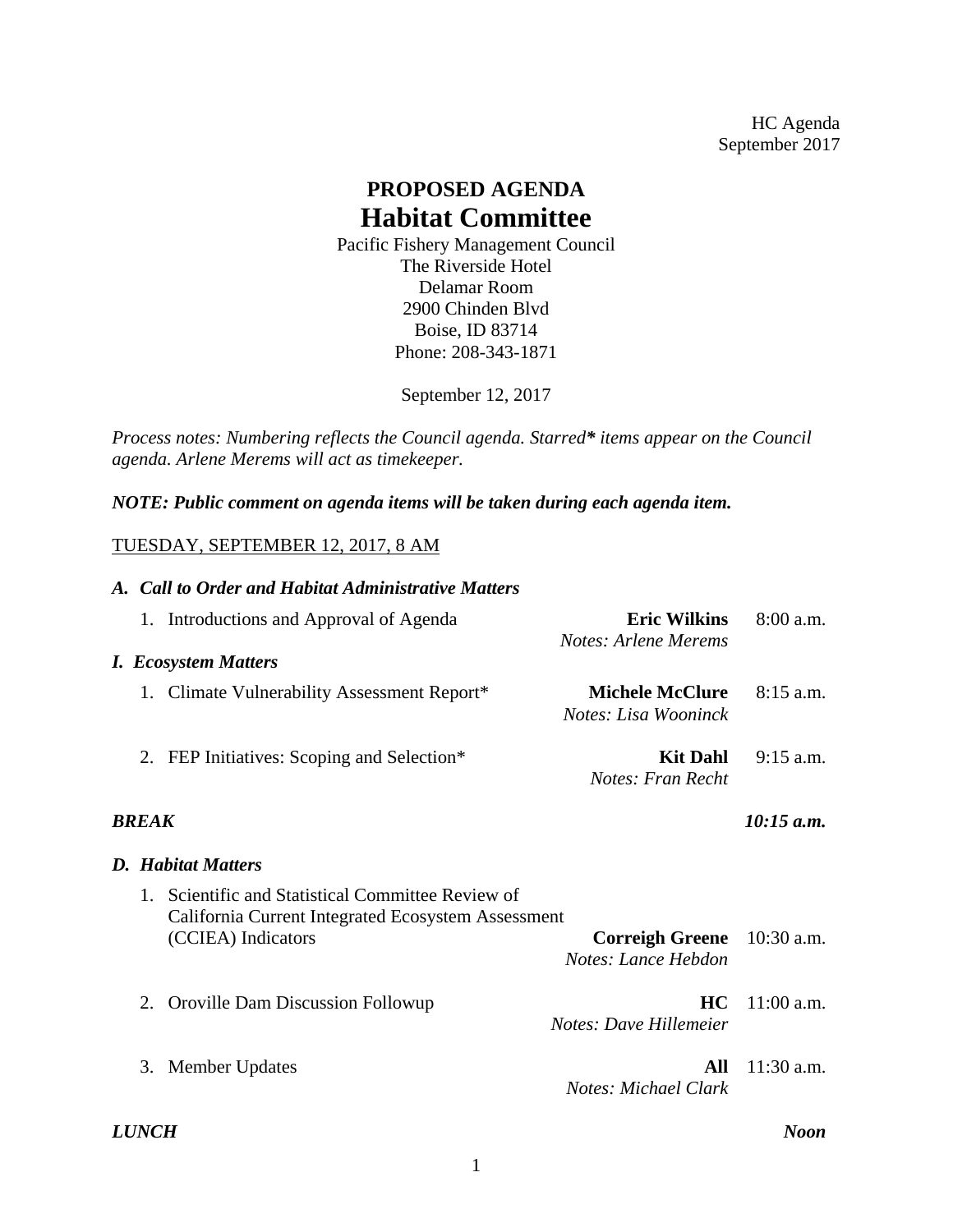HC Agenda September 2017

## **PROPOSED AGENDA Habitat Committee**

Pacific Fishery Management Council The [Riverside](http://www.redlion.com/riverside/map-directions) Hotel [Delamar](http://www.redlion.com/riverside/map-directions) Room 2900 Chinden Blvd Boise, ID 83714 Phone: 208-343-1871

September 12, 2017

*Process notes: Numbering reflects the Council agenda. Starred\* items appear on the Council agenda. Arlene Merems will act as timekeeper.* 

*NOTE: Public comment on agenda items will be taken during each agenda item.*

## TUESDAY, SEPTEMBER 12, 2017, 8 AM

|                              | A. Call to Order and Habitat Administrative Matters                                                     |                                                |              |  |
|------------------------------|---------------------------------------------------------------------------------------------------------|------------------------------------------------|--------------|--|
|                              | 1. Introductions and Approval of Agenda                                                                 | <b>Eric Wilkins</b><br>Notes: Arlene Merems    | 8:00 a.m.    |  |
|                              | <b>I.</b> Ecosystem Matters                                                                             |                                                |              |  |
|                              | 1. Climate Vulnerability Assessment Report*                                                             | <b>Michele McClure</b><br>Notes: Lisa Wooninck | $8:15$ a.m.  |  |
|                              | 2. FEP Initiatives: Scoping and Selection*                                                              | <b>Kit Dahl</b><br>Notes: Fran Recht           | $9:15$ a.m.  |  |
| $10:15$ a.m.<br><b>BREAK</b> |                                                                                                         |                                                |              |  |
| <b>D.</b> Habitat Matters    |                                                                                                         |                                                |              |  |
|                              | 1. Scientific and Statistical Committee Review of<br>California Current Integrated Ecosystem Assessment |                                                |              |  |
|                              | (CCIEA) Indicators                                                                                      | <b>Correigh Greene</b><br>Notes: Lance Hebdon  | $10:30$ a.m. |  |
|                              | 2. Oroville Dam Discussion Followup                                                                     | HC.<br>Notes: Dave Hillemeier                  | $11:00$ a.m. |  |
|                              | 3. Member Updates                                                                                       | All<br>Notes: Michael Clark                    | $11:30$ a.m. |  |
|                              |                                                                                                         |                                                |              |  |

*LUNCH Noon*